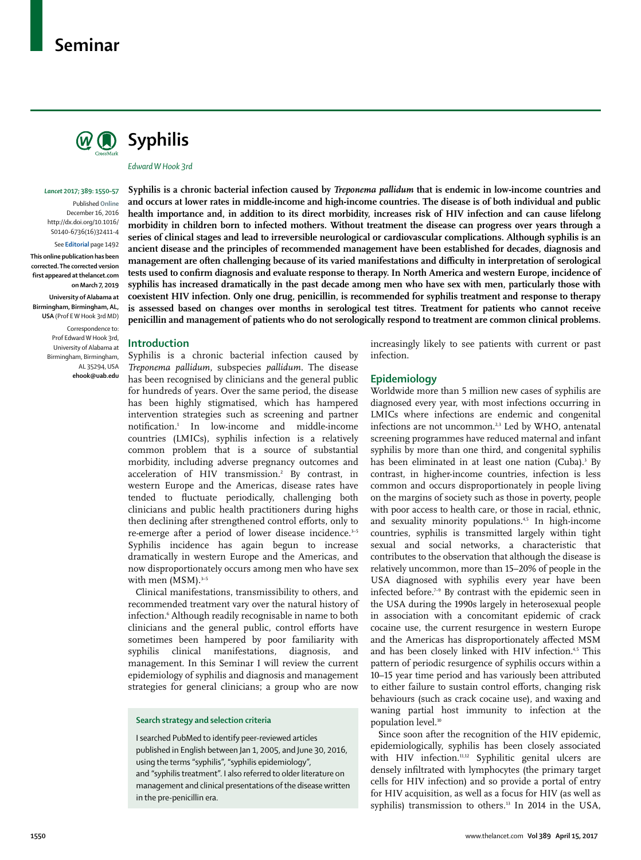# **Seminar**





*Edward W Hook 3rd*

#### *Lancet* **2017; 389: 1550–57**

Published **Online** December 16, 2016 http://dx.doi.org/10.1016/ S0140-6736(16)32411-4

#### See **Editorial** page 1492

**This online publication has been corrected. The corrected version first appeared at thelancet.com on March 7, 2019**

**University of Alabama at Birmingham, Birmingham, AL, USA** (Prof E W Hook 3rd MD)

> Correspondence to: Prof Edward W Hook 3rd, University of Alabama at Birmingham, Birmingham, AL 35294, USA **ehook@uab.edu**

**Syphilis is a chronic bacterial infection caused by** *Treponema pallidum* **that is endemic in low-income countries and and occurs at lower rates in middle-income and high-income countries. The disease is of both individual and public health importance and, in addition to its direct morbidity, increases risk of HIV infection and can cause lifelong morbidity in children born to infected mothers. Without treatment the disease can progress over years through a series of clinical stages and lead to irreversible neurological or cardiovascular complications. Although syphilis is an ancient disease and the principles of recommended management have been established for decades, diagnosis and management are often challenging because of its varied manifestations and difficulty in interpretation of serological tests used to confirm diagnosis and evaluate response to therapy. In North America and western Europe, incidence of syphilis has increased dramatically in the past decade among men who have sex with men, particularly those with coexistent HIV infection. Only one drug, penicillin, is recommended for syphilis treatment and response to therapy is assessed based on changes over months in serological test titres. Treatment for patients who cannot receive penicillin and management of patients who do not serologically respond to treatment are common clinical problems.**

#### **Introduction**

Syphilis is a chronic bacterial infection caused by *Treponema pallidum*, subspecies *pallidum.* The disease has been recognised by clinicians and the general public for hundreds of years. Over the same period, the disease has been highly stigmatised, which has hampered intervention strategies such as screening and partner notification.1 In low-income and middle-income countries (LMICs), syphilis infection is a relatively common problem that is a source of substantial morbidity, including adverse pregnancy outcomes and acceleration of HIV transmission.<sup>2</sup> By contrast, in western Europe and the Americas, disease rates have tended to fluctuate periodically, challenging both clinicians and public health practitioners during highs then declining after strengthened control efforts, only to re-emerge after a period of lower disease incidence.<sup>3-5</sup> Syphilis incidence has again begun to increase dramatically in western Europe and the Americas, and now disproportionately occurs among men who have sex with men  $(MSM).$ <sup>3-5</sup>

Clinical manifestations, transmissibility to others, and recommended treatment vary over the natural history of infection.6 Although readily recognisable in name to both clinicians and the general public, control efforts have sometimes been hampered by poor familiarity with syphilis clinical manifestations, diagnosis, and management. In this Seminar I will review the current epidemiology of syphilis and diagnosis and management strategies for general clinicians; a group who are now

#### **Search strategy and selection criteria**

I searched PubMed to identify peer-reviewed articles published in English between Jan 1, 2005, and June 30, 2016, using the terms "syphilis", "syphilis epidemiology", and "syphilis treatment". I also referred to older literature on management and clinical presentations of the disease written in the pre-penicillin era.

increasingly likely to see patients with current or past infection.

## **Epidemiology**

Worldwide more than 5 million new cases of syphilis are diagnosed every year, with most infections occurring in LMICs where infections are endemic and congenital infections are not uncommon.<sup>2,3</sup> Led by WHO, antenatal screening programmes have reduced maternal and infant syphilis by more than one third, and congenital syphilis has been eliminated in at least one nation (Cuba).<sup>3</sup> By contrast, in higher-income countries, infection is less common and occurs disproportionately in people living on the margins of society such as those in poverty, people with poor access to health care, or those in racial, ethnic, and sexuality minority populations.<sup>4,5</sup> In high-income countries, syphilis is transmitted largely within tight sexual and social networks, a characteristic that contributes to the observation that although the disease is relatively uncommon, more than 15–20% of people in the USA diagnosed with syphilis every year have been infected before.7–9 By contrast with the epidemic seen in the USA during the 1990s largely in heterosexual people in association with a concomitant epidemic of crack cocaine use, the current resurgence in western Europe and the Americas has disproportionately affected MSM and has been closely linked with HIV infection.<sup>4,5</sup> This pattern of periodic resurgence of syphilis occurs within a 10–15 year time period and has variously been attributed to either failure to sustain control efforts, changing risk behaviours (such as crack cocaine use), and waxing and waning partial host immunity to infection at the population level.<sup>10</sup>

Since soon after the recognition of the HIV epidemic, epidemiologically, syphilis has been closely associated with HIV infection.<sup>11,12</sup> Syphilitic genital ulcers are densely infiltrated with lymphocytes (the primary target cells for HIV infection) and so provide a portal of entry for HIV acquisition, as well as a focus for HIV (as well as syphilis) transmission to others.<sup>13</sup> In 2014 in the USA,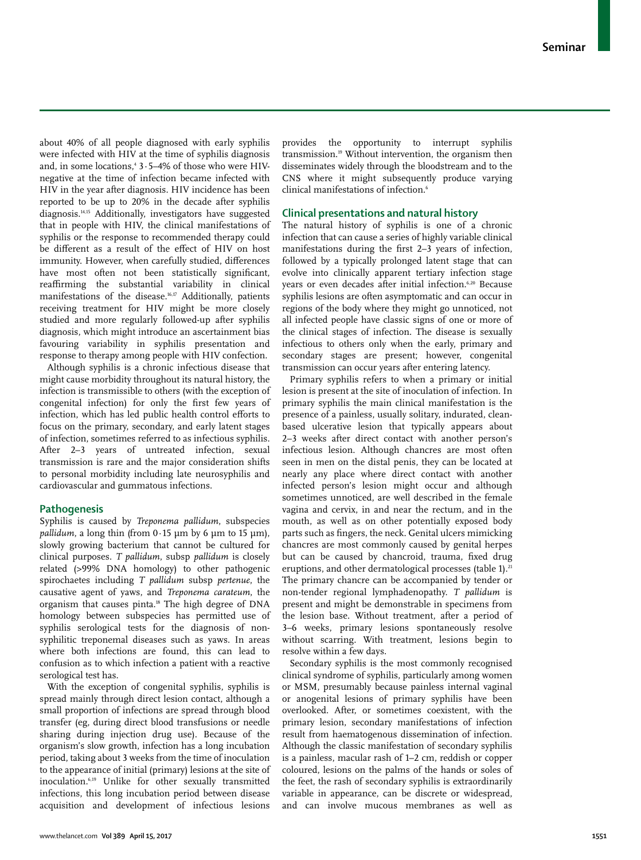about 40% of all people diagnosed with early syphilis were infected with HIV at the time of syphilis diagnosis and, in some locations,4 3·5–4% of those who were HIVnegative at the time of infection became infected with HIV in the year after diagnosis. HIV incidence has been reported to be up to 20% in the decade after syphilis diagnosis.14,15 Additionally, investigators have suggested that in people with HIV, the clinical manifestations of syphilis or the response to recommended therapy could be different as a result of the effect of HIV on host immunity. However, when carefully studied, differences have most often not been statistically significant, reaffirming the substantial variability in clinical manifestations of the disease.16,17 Additionally, patients receiving treatment for HIV might be more closely studied and more regularly followed-up after syphilis diagnosis, which might introduce an ascertainment bias favouring variability in syphilis presentation and response to therapy among people with HIV confection.

Although syphilis is a chronic infectious disease that might cause morbidity throughout its natural history, the infection is transmissible to others (with the exception of congenital infection) for only the first few years of infection, which has led public health control efforts to focus on the primary, secondary, and early latent stages of infection, sometimes referred to as infectious syphilis. After 2–3 years of untreated infection, sexual transmission is rare and the major consideration shifts to personal morbidity including late neurosyphilis and cardiovascular and gummatous infections.

# **Pathogenesis**

Syphilis is caused by *Treponema pallidum*, subspecies *pallidum*, a long thin (from 0·15 μm by 6 μm to 15 μm), slowly growing bacterium that cannot be cultured for clinical purposes. *T pallidum*, subsp *pallidum* is closely related (>99% DNA homology) to other pathogenic spirochaetes including *T pallidum* subsp *pertenue*, the causative agent of yaws, and *Treponema carateum*, the organism that causes pinta.18 The high degree of DNA homology between subspecies has permitted use of syphilis serological tests for the diagnosis of nonsyphilitic treponemal diseases such as yaws. In areas where both infections are found, this can lead to confusion as to which infection a patient with a reactive serological test has.

With the exception of congenital syphilis, syphilis is spread mainly through direct lesion contact, although a small proportion of infections are spread through blood transfer (eg, during direct blood transfusions or needle sharing during injection drug use). Because of the organism's slow growth, infection has a long incubation period, taking about 3 weeks from the time of inoculation to the appearance of initial (primary) lesions at the site of inoculation.6,19 Unlike for other sexually transmitted infections, this long incubation period between disease acquisition and development of infectious lesions provides the opportunity to interrupt syphilis transmission.19 Without intervention, the organism then disseminates widely through the bloodstream and to the CNS where it might subsequently produce varying clinical manifestations of infection.6

## **Clinical presentations and natural history**

The natural history of syphilis is one of a chronic infection that can cause a series of highly variable clinical manifestations during the first 2–3 years of infection, followed by a typically prolonged latent stage that can evolve into clinically apparent tertiary infection stage years or even decades after initial infection.6,20 Because syphilis lesions are often asymptomatic and can occur in regions of the body where they might go unnoticed, not all infected people have classic signs of one or more of the clinical stages of infection. The disease is sexually infectious to others only when the early, primary and secondary stages are present; however, congenital transmission can occur years after entering latency.

Primary syphilis refers to when a primary or initial lesion is present at the site of inoculation of infection. In primary syphilis the main clinical manifestation is the presence of a painless, usually solitary, indurated, cleanbased ulcerative lesion that typically appears about 2–3 weeks after direct contact with another person's infectious lesion. Although chancres are most often seen in men on the distal penis, they can be located at nearly any place where direct contact with another infected person's lesion might occur and although sometimes unnoticed, are well described in the female vagina and cervix, in and near the rectum, and in the mouth, as well as on other potentially exposed body parts such as fingers, the neck. Genital ulcers mimicking chancres are most commonly caused by genital herpes but can be caused by chancroid, trauma, fixed drug eruptions, and other dermatological processes (table 1).<sup>21</sup> The primary chancre can be accompanied by tender or non-tender regional lymphadenopathy. *T pallidum* is present and might be demonstrable in specimens from the lesion base. Without treatment, after a period of 3–6 weeks, primary lesions spontaneously resolve without scarring. With treatment, lesions begin to resolve within a few days.

Secondary syphilis is the most commonly recognised clinical syndrome of syphilis, particularly among women or MSM, presumably because painless internal vaginal or anogenital lesions of primary syphilis have been overlooked. After, or sometimes coexistent, with the primary lesion, secondary manifestations of infection result from haematogenous dissemination of infection. Although the classic manifestation of secondary syphilis is a painless, macular rash of 1–2 cm, reddish or copper coloured, lesions on the palms of the hands or soles of the feet, the rash of secondary syphilis is extraordinarily variable in appearance, can be discrete or widespread, and can involve mucous membranes as well as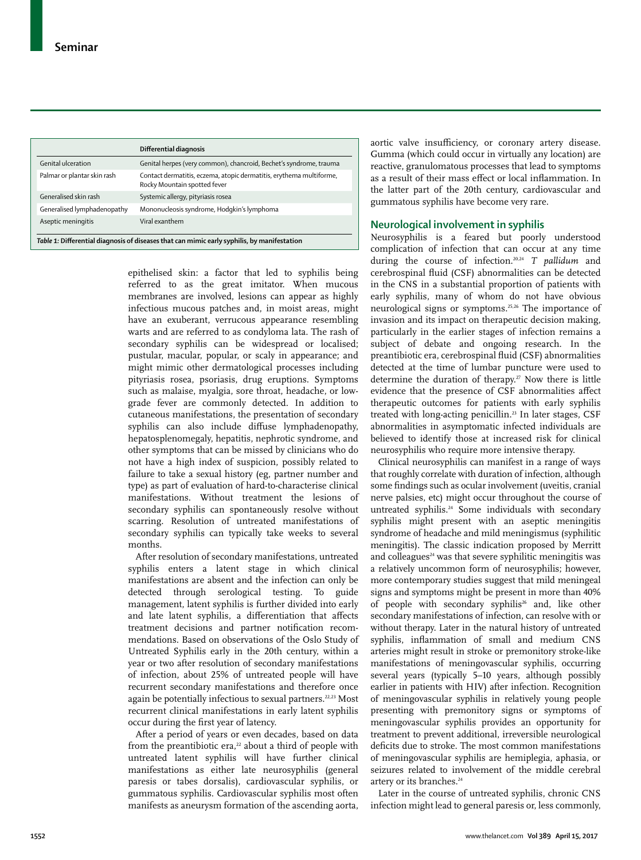|                                                                                             | Differential diagnosis                                                                              |  |
|---------------------------------------------------------------------------------------------|-----------------------------------------------------------------------------------------------------|--|
| Genital ulceration                                                                          | Genital herpes (very common), chancroid, Bechet's syndrome, trauma                                  |  |
| Palmar or plantar skin rash                                                                 | Contact dermatitis, eczema, atopic dermatitis, erythema multiforme,<br>Rocky Mountain spotted fever |  |
| Generalised skin rash                                                                       | Systemic allergy, pityriasis rosea                                                                  |  |
| Generalised lymphadenopathy                                                                 | Mononucleosis syndrome, Hodgkin's lymphoma                                                          |  |
| Aseptic meningitis                                                                          | Viral exanthem                                                                                      |  |
| Table 1: Differential diagnosis of diseases that can mimic early syphilis, by manifestation |                                                                                                     |  |

epithelised skin: a factor that led to syphilis being referred to as the great imitator. When mucous membranes are involved, lesions can appear as highly infectious mucous patches and, in moist areas, might have an exuberant, verrucous appearance resembling warts and are referred to as condyloma lata. The rash of secondary syphilis can be widespread or localised; pustular, macular, popular, or scaly in appearance; and might mimic other dermatological processes including pityriasis rosea, psoriasis, drug eruptions. Symptoms such as malaise, myalgia, sore throat, headache, or lowgrade fever are commonly detected. In addition to cutaneous manifestations, the presentation of secondary syphilis can also include diffuse lymphadenopathy, hepatosplenomegaly, hepatitis, nephrotic syndrome, and other symptoms that can be missed by clinicians who do not have a high index of suspicion, possibly related to failure to take a sexual history (eg, partner number and type) as part of evaluation of hard-to-characterise clinical manifestations. Without treatment the lesions of secondary syphilis can spontaneously resolve without scarring. Resolution of untreated manifestations of secondary syphilis can typically take weeks to several months.

After resolution of secondary manifestations, untreated syphilis enters a latent stage in which clinical manifestations are absent and the infection can only be detected through serological testing. To guide management, latent syphilis is further divided into early and late latent syphilis, a differentiation that affects treatment decisions and partner notification recommendations. Based on observations of the Oslo Study of Untreated Syphilis early in the 20th century, within a year or two after resolution of secondary manifestations of infection, about 25% of untreated people will have recurrent secondary manifestations and therefore once again be potentially infectious to sexual partners.<sup>22,23</sup> Most recurrent clinical manifestations in early latent syphilis occur during the first year of latency.

After a period of years or even decades, based on data from the preantibiotic era, $22$  about a third of people with untreated latent syphilis will have further clinical manifestations as either late neurosyphilis (general paresis or tabes dorsalis), cardiovascular syphilis, or gummatous syphilis. Cardiovascular syphilis most often manifests as aneurysm formation of the ascending aorta, aortic valve insufficiency, or coronary artery disease. Gumma (which could occur in virtually any location) are reactive, granulomatous processes that lead to symptoms as a result of their mass effect or local inflammation. In the latter part of the 20th century, cardiovascular and gummatous syphilis have become very rare.

# **Neurological involvement in syphilis**

Neurosyphilis is a feared but poorly understood complication of infection that can occur at any time during the course of infection.20,24 *T pallidum* and cerebrospinal fluid (CSF) abnormalities can be detected in the CNS in a substantial proportion of patients with early syphilis, many of whom do not have obvious neurological signs or symptoms.25,26 The importance of invasion and its impact on therapeutic decision making, particularly in the earlier stages of infection remains a subject of debate and ongoing research. In the preantibiotic era, cerebrospinal fluid (CSF) abnormalities detected at the time of lumbar puncture were used to determine the duration of therapy.<sup>27</sup> Now there is little evidence that the presence of CSF abnormalities affect therapeutic outcomes for patients with early syphilis treated with long-acting penicillin.23 In later stages, CSF abnormalities in asymptomatic infected individuals are believed to identify those at increased risk for clinical neurosyphilis who require more intensive therapy.

Clinical neurosyphilis can manifest in a range of ways that roughly correlate with duration of infection, although some findings such as ocular involvement (uveitis, cranial nerve palsies, etc) might occur throughout the course of untreated syphilis.<sup>24</sup> Some individuals with secondary syphilis might present with an aseptic meningitis syndrome of headache and mild meningismus (syphilitic meningitis). The classic indication proposed by Merritt and colleagues $24$  was that severe syphilitic meningitis was a relatively uncommon form of neurosyphilis; however, more contemporary studies suggest that mild meningeal signs and symptoms might be present in more than 40% of people with secondary syphilis<sup>26</sup> and, like other secondary manifestations of infection, can resolve with or without therapy. Later in the natural history of untreated syphilis, inflammation of small and medium CNS arteries might result in stroke or premonitory stroke-like manifestations of meningovascular syphilis, occurring several years (typically 5–10 years, although possibly earlier in patients with HIV) after infection. Recognition of meningovascular syphilis in relatively young people presenting with premonitory signs or symptoms of meningovascular syphilis provides an opportunity for treatment to prevent additional, irreversible neurological deficits due to stroke. The most common manifestations of meningovascular syphilis are hemiplegia, aphasia, or seizures related to involvement of the middle cerebral artery or its branches.<sup>24</sup>

Later in the course of untreated syphilis, chronic CNS infection might lead to general paresis or, less commonly,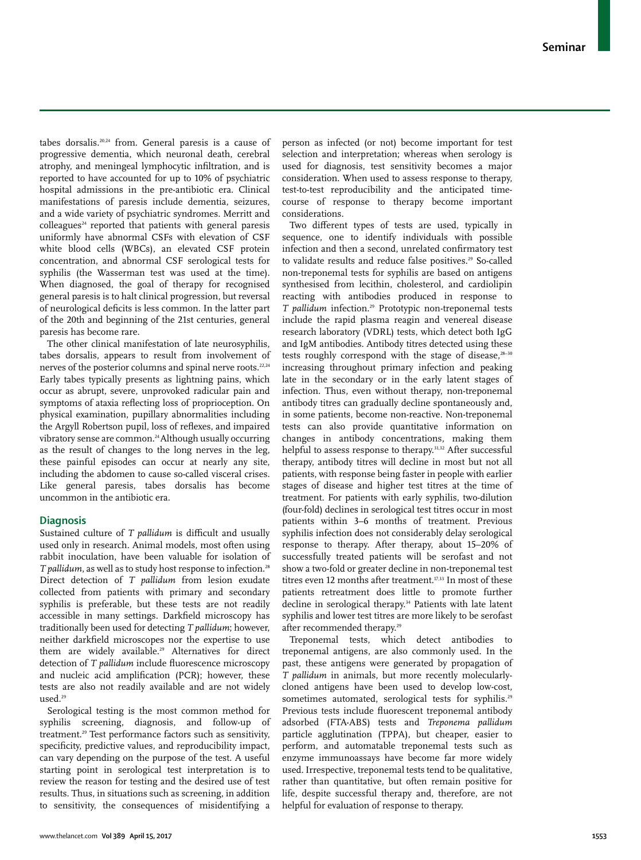tabes dorsalis.20,24 from. General paresis is a cause of progressive dementia, which neuronal death, cerebral atrophy, and meningeal lymphocytic infiltration, and is reported to have accounted for up to 10% of psychiatric hospital admissions in the pre-antibiotic era. Clinical manifestations of paresis include dementia, seizures, and a wide variety of psychiatric syndromes. Merritt and  $\text{colleagues}^{24}$  reported that patients with general paresis uniformly have abnormal CSFs with elevation of CSF white blood cells (WBCs), an elevated CSF protein concentration, and abnormal CSF serological tests for syphilis (the Wasserman test was used at the time). When diagnosed, the goal of therapy for recognised general paresis is to halt clinical progression, but reversal of neurological deficits is less common. In the latter part of the 20th and beginning of the 21st centuries, general paresis has become rare.

The other clinical manifestation of late neurosyphilis, tabes dorsalis, appears to result from involvement of nerves of the posterior columns and spinal nerve roots.<sup>22,24</sup> Early tabes typically presents as lightning pains, which occur as abrupt, severe, unprovoked radicular pain and symptoms of ataxia reflecting loss of proprioception. On physical examination, pupillary abnormalities including the Argyll Robertson pupil, loss of reflexes, and impaired vibratory sense are common.<sup>24</sup> Although usually occurring as the result of changes to the long nerves in the leg, these painful episodes can occur at nearly any site, including the abdomen to cause so-called visceral crises. Like general paresis, tabes dorsalis has become uncommon in the antibiotic era.

## **Diagnosis**

Sustained culture of *T pallidum* is difficult and usually used only in research. Animal models, most often using rabbit inoculation, have been valuable for isolation of *T* pallidum, as well as to study host response to infection.<sup>28</sup> Direct detection of *T pallidum* from lesion exudate collected from patients with primary and secondary syphilis is preferable, but these tests are not readily accessible in many settings. Darkfield microscopy has traditionally been used for detecting *T pallidum*; however, neither darkfield microscopes nor the expertise to use them are widely available.<sup>29</sup> Alternatives for direct detection of *T pallidum* include fluorescence microscopy and nucleic acid amplification (PCR); however, these tests are also not readily available and are not widely used.<sup>29</sup>

Serological testing is the most common method for syphilis screening, diagnosis, and follow-up of treatment.29 Test performance factors such as sensitivity, specificity, predictive values, and reproducibility impact, can vary depending on the purpose of the test. A useful starting point in serological test interpretation is to review the reason for testing and the desired use of test results. Thus, in situations such as screening, in addition to sensitivity, the consequences of misidentifying a person as infected (or not) become important for test selection and interpretation; whereas when serology is used for diagnosis, test sensitivity becomes a major consideration. When used to assess response to therapy, test-to-test reproducibility and the anticipated timecourse of response to therapy become important considerations.

Two different types of tests are used, typically in sequence, one to identify individuals with possible infection and then a second, unrelated confirmatory test to validate results and reduce false positives.<sup>29</sup> So-called non-treponemal tests for syphilis are based on antigens synthesised from lecithin, cholesterol, and cardiolipin reacting with antibodies produced in response to *T pallidum* infection.29 Prototypic non-treponemal tests include the rapid plasma reagin and venereal disease research laboratory (VDRL) tests, which detect both IgG and IgM antibodies. Antibody titres detected using these tests roughly correspond with the stage of disease,<sup>28–30</sup> increasing throughout primary infection and peaking late in the secondary or in the early latent stages of infection. Thus, even without therapy, non-treponemal antibody titres can gradually decline spontaneously and, in some patients, become non-reactive. Non-treponemal tests can also provide quantitative information on changes in antibody concentrations, making them helpful to assess response to therapy.31,32 After successful therapy, antibody titres will decline in most but not all patients, with response being faster in people with earlier stages of disease and higher test titres at the time of treatment. For patients with early syphilis, two-dilution (four-fold) declines in serological test titres occur in most patients within 3–6 months of treatment. Previous syphilis infection does not considerably delay serological response to therapy. After therapy, about 15–20% of successfully treated patients will be serofast and not show a two-fold or greater decline in non-treponemal test titres even 12 months after treatment.<sup>17,33</sup> In most of these patients retreatment does little to promote further decline in serological therapy.<sup>34</sup> Patients with late latent syphilis and lower test titres are more likely to be serofast after recommended therapy.<sup>29</sup>

Treponemal tests, which detect antibodies to treponemal antigens, are also commonly used. In the past, these antigens were generated by propagation of *T pallidum* in animals, but more recently molecularlycloned antigens have been used to develop low-cost, sometimes automated, serological tests for syphilis.<sup>29</sup> Previous tests include fluorescent treponemal antibody adsorbed (FTA-ABS) tests and *Treponema pallidum* particle agglutination (TPPA), but cheaper, easier to perform, and automatable treponemal tests such as enzyme immunoassays have become far more widely used. Irrespective, treponemal tests tend to be qualitative, rather than quantitative, but often remain positive for life, despite successful therapy and, therefore, are not helpful for evaluation of response to therapy.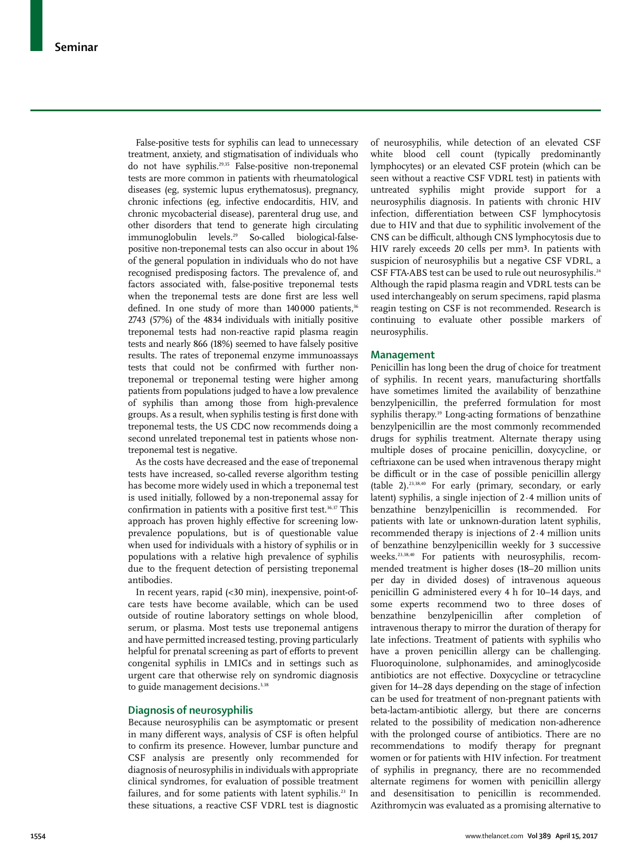False-positive tests for syphilis can lead to unnecessary treatment, anxiety, and stigmatisation of individuals who do not have syphilis.29,35 False-positive non-treponemal tests are more common in patients with rheumatological diseases (eg, systemic lupus erythematosus), pregnancy, chronic infections (eg, infective endocarditis, HIV, and chronic mycobacterial disease), parenteral drug use, and other disorders that tend to generate high circulating immunoglobulin levels.29 So-called biological-falsepositive non-treponemal tests can also occur in about 1% of the general population in individuals who do not have recognised predisposing factors. The prevalence of, and factors associated with, false-positive treponemal tests when the treponemal tests are done first are less well defined. In one study of more than 140000 patients,<sup>36</sup> 2743 (57%) of the 4834 individuals with initially positive treponemal tests had non-reactive rapid plasma reagin tests and nearly 866 (18%) seemed to have falsely positive results. The rates of treponemal enzyme immunoassays tests that could not be confirmed with further nontreponemal or treponemal testing were higher among patients from populations judged to have a low prevalence of syphilis than among those from high-prevalence groups. As a result, when syphilis testing is first done with treponemal tests, the US CDC now recommends doing a second unrelated treponemal test in patients whose nontreponemal test is negative.

As the costs have decreased and the ease of treponemal tests have increased, so-called reverse algorithm testing has become more widely used in which a treponemal test is used initially, followed by a non-treponemal assay for confirmation in patients with a positive first test.<sup>36,37</sup> This approach has proven highly effective for screening lowprevalence populations, but is of questionable value when used for individuals with a history of syphilis or in populations with a relative high prevalence of syphilis due to the frequent detection of persisting treponemal antibodies.

In recent years, rapid (<30 min), inexpensive, point-ofcare tests have become available, which can be used outside of routine laboratory settings on whole blood, serum, or plasma. Most tests use treponemal antigens and have permitted increased testing, proving particularly helpful for prenatal screening as part of efforts to prevent congenital syphilis in LMICs and in settings such as urgent care that otherwise rely on syndromic diagnosis to guide management decisions.<sup>3,38</sup>

## **Diagnosis of neurosyphilis**

Because neurosyphilis can be asymptomatic or present in many different ways, analysis of CSF is often helpful to confirm its presence. However, lumbar puncture and CSF analysis are presently only recommended for diagnosis of neurosyphilis in individuals with appropriate clinical syndromes, for evaluation of possible treatment failures, and for some patients with latent syphilis.<sup>23</sup> In these situations, a reactive CSF VDRL test is diagnostic of neurosyphilis, while detection of an elevated CSF white blood cell count (typically predominantly lymphocytes) or an elevated CSF protein (which can be seen without a reactive CSF VDRL test) in patients with untreated syphilis might provide support for a neurosyphilis diagnosis. In patients with chronic HIV infection, differentiation between CSF lymphocytosis due to HIV and that due to syphilitic involvement of the CNS can be difficult, although CNS lymphocytosis due to HIV rarely exceeds 20 cells per mm<sup>3</sup>. In patients with suspicion of neurosyphilis but a negative CSF VDRL, a CSF FTA-ABS test can be used to rule out neurosyphilis.<sup>24</sup> Although the rapid plasma reagin and VDRL tests can be used interchangeably on serum specimens, rapid plasma reagin testing on CSF is not recommended. Research is continuing to evaluate other possible markers of neurosyphilis.

## **Management**

Penicillin has long been the drug of choice for treatment of syphilis. In recent years, manufacturing shortfalls have sometimes limited the availability of benzathine benzylpenicillin, the preferred formulation for most syphilis therapy.<sup>39</sup> Long-acting formations of benzathine benzylpenicillin are the most commonly recommended drugs for syphilis treatment. Alternate therapy using multiple doses of procaine penicillin, doxycycline, or ceftriaxone can be used when intravenous therapy might be difficult or in the case of possible penicillin allergy (table 2).23,38,40 For early (primary, secondary, or early latent) syphilis, a single injection of 2·4 million units of benzathine benzylpenicillin is recommended. For patients with late or unknown-duration latent syphilis, recommended therapy is injections of 2·4 million units of benzathine benzylpenicillin weekly for 3 successive weeks.23,38,40 For patients with neurosyphilis, recommended treatment is higher doses (18–20 million units per day in divided doses) of intravenous aqueous penicillin G administered every 4 h for 10–14 days, and some experts recommend two to three doses of benzathine benzylpenicillin after completion of intravenous therapy to mirror the duration of therapy for late infections. Treatment of patients with syphilis who have a proven penicillin allergy can be challenging. Fluoroquinolone, sulphonamides, and aminoglycoside antibiotics are not effective. Doxycycline or tetracycline given for 14–28 days depending on the stage of infection can be used for treatment of non-pregnant patients with beta-lactam-antibiotic allergy, but there are concerns related to the possibility of medication non-adherence with the prolonged course of antibiotics. There are no recommendations to modify therapy for pregnant women or for patients with HIV infection. For treatment of syphilis in pregnancy, there are no recommended alternate regimens for women with penicillin allergy and desensitisation to penicillin is recommended. Azithromycin was evaluated as a promising alternative to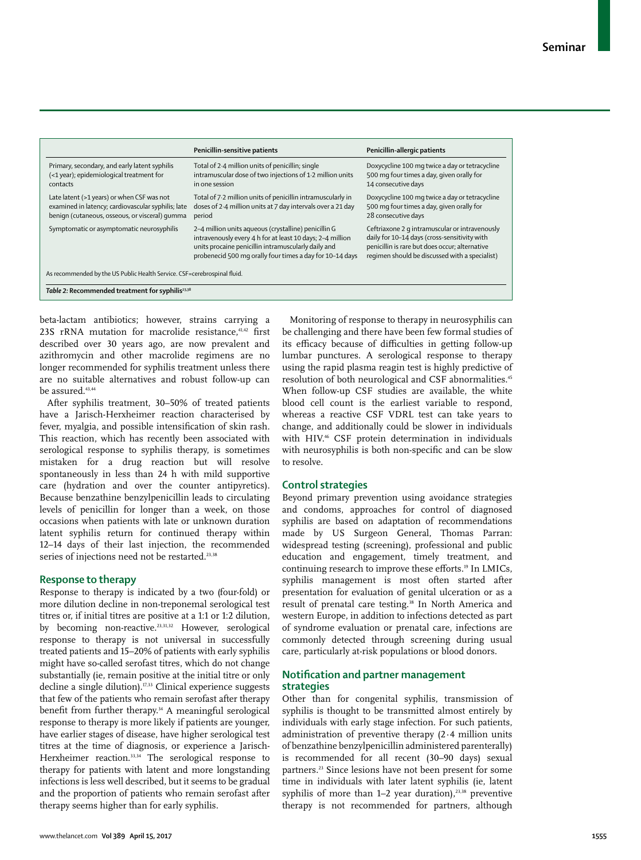|                                                                                                                                                    | Penicillin-sensitive patients                                                                                                                                                                                                        | Penicillin-allergic patients                                                                                                                                                                       |  |
|----------------------------------------------------------------------------------------------------------------------------------------------------|--------------------------------------------------------------------------------------------------------------------------------------------------------------------------------------------------------------------------------------|----------------------------------------------------------------------------------------------------------------------------------------------------------------------------------------------------|--|
| Primary, secondary, and early latent syphilis<br>(<1 year); epidemiological treatment for<br>contacts                                              | Total of 2.4 million units of penicillin; single<br>intramuscular dose of two injections of 1.2 million units<br>in one session                                                                                                      | Doxycycline 100 mg twice a day or tetracycline<br>500 mg four times a day, given orally for<br>14 consecutive days                                                                                 |  |
| Late latent (>1 years) or when CSF was not<br>examined in latency; cardiovascular syphilis; late<br>benign (cutaneous, osseous, or visceral) gumma | Total of 7.2 million units of penicillin intramuscularly in<br>doses of 2.4 million units at 7 day intervals over a 21 day<br>period                                                                                                 | Doxycycline 100 mg twice a day or tetracycline<br>500 mg four times a day, given orally for<br>28 consecutive days                                                                                 |  |
| Symptomatic or asymptomatic neurosyphilis                                                                                                          | 2-4 million units aqueous (crystalline) penicillin G<br>intravenously every 4 h for at least 10 days; 2-4 million<br>units procaine penicillin intramuscularly daily and<br>probenecid 500 mg orally four times a day for 10-14 days | Ceftriaxone 2 q intramuscular or intravenously<br>daily for 10-14 days (cross-sensitivity with<br>penicillin is rare but does occur; alternative<br>regimen should be discussed with a specialist) |  |
| As recommended by the US Public Health Service. CSF=cerebrospinal fluid.                                                                           |                                                                                                                                                                                                                                      |                                                                                                                                                                                                    |  |
| Table 2: Recommended treatment for syphilis <sup>23,38</sup>                                                                                       |                                                                                                                                                                                                                                      |                                                                                                                                                                                                    |  |

beta-lactam antibiotics; however, strains carrying a 23S rRNA mutation for macrolide resistance,<sup>41,42</sup> first described over 30 years ago, are now prevalent and azithromycin and other macrolide regimens are no longer recommended for syphilis treatment unless there are no suitable alternatives and robust follow-up can be assured.43,44

After syphilis treatment, 30–50% of treated patients have a Jarisch-Herxheimer reaction characterised by fever, myalgia, and possible intensification of skin rash. This reaction, which has recently been associated with serological response to syphilis therapy, is sometimes mistaken for a drug reaction but will resolve spontaneously in less than 24 h with mild supportive care (hydration and over the counter antipyretics). Because benzathine benzylpenicillin leads to circulating levels of penicillin for longer than a week, on those occasions when patients with late or unknown duration latent syphilis return for continued therapy within 12–14 days of their last injection, the recommended series of injections need not be restarted.<sup>23,38</sup>

## **Response to therapy**

Response to therapy is indicated by a two (four-fold) or more dilution decline in non-treponemal serological test titres or, if initial titres are positive at a 1:1 or 1:2 dilution, by becoming non-reactive.23,31,32 However, serological response to therapy is not universal in successfully treated patients and 15–20% of patients with early syphilis might have so-called serofast titres, which do not change substantially (ie, remain positive at the initial titre or only decline a single dilution).<sup>17,33</sup> Clinical experience suggests that few of the patients who remain serofast after therapy benefit from further therapy.<sup>34</sup> A meaningful serological response to therapy is more likely if patients are younger, have earlier stages of disease, have higher serological test titres at the time of diagnosis, or experience a Jarisch-Herxheimer reaction.<sup>33,34</sup> The serological response to therapy for patients with latent and more longstanding infections is less well described, but it seems to be gradual and the proportion of patients who remain serofast after therapy seems higher than for early syphilis.

Monitoring of response to therapy in neurosyphilis can be challenging and there have been few formal studies of its efficacy because of difficulties in getting follow-up lumbar punctures. A serological response to therapy using the rapid plasma reagin test is highly predictive of resolution of both neurological and CSF abnormalities.45 When follow-up CSF studies are available, the white blood cell count is the earliest variable to respond, whereas a reactive CSF VDRL test can take years to change, and additionally could be slower in individuals with HIV.<sup>46</sup> CSF protein determination in individuals with neurosyphilis is both non-specific and can be slow to resolve.

## **Control strategies**

Beyond primary prevention using avoidance strategies and condoms, approaches for control of diagnosed syphilis are based on adaptation of recommendations made by US Surgeon General, Thomas Parran: widespread testing (screening), professional and public education and engagement, timely treatment, and continuing research to improve these efforts.<sup>19</sup> In LMICs, syphilis management is most often started after presentation for evaluation of genital ulceration or as a result of prenatal care testing.<sup>38</sup> In North America and western Europe, in addition to infections detected as part of syndrome evaluation or prenatal care, infections are commonly detected through screening during usual care, particularly at-risk populations or blood donors.

# **Notification and partner management strategies**

Other than for congenital syphilis, transmission of syphilis is thought to be transmitted almost entirely by individuals with early stage infection. For such patients, administration of preventive therapy (2·4 million units of benzathine benzylpenicillin administered parenterally) is recommended for all recent (30–90 days) sexual partners.<sup>23</sup> Since lesions have not been present for some time in individuals with later latent syphilis (ie, latent syphilis of more than  $1-2$  year duration),<sup>23,38</sup> preventive therapy is not recommended for partners, although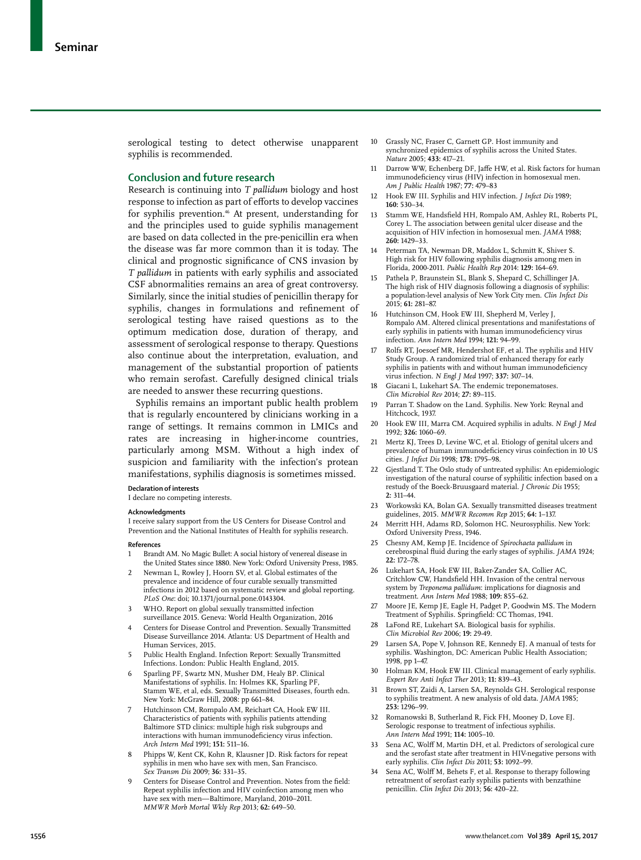serological testing to detect otherwise unapparent syphilis is recommended.

# **Conclusion and future research**

Research is continuing into *T pallidum* biology and host response to infection as part of efforts to develop vaccines for syphilis prevention.<sup>46</sup> At present, understanding for and the principles used to guide syphilis management are based on data collected in the pre-penicillin era when the disease was far more common than it is today. The clinical and prognostic significance of CNS invasion by *T pallidum* in patients with early syphilis and associated CSF abnormalities remains an area of great controversy. Similarly, since the initial studies of penicillin therapy for syphilis, changes in formulations and refinement of serological testing have raised questions as to the optimum medication dose, duration of therapy, and assessment of serological response to therapy. Questions also continue about the interpretation, evaluation, and management of the substantial proportion of patients who remain serofast. Carefully designed clinical trials are needed to answer these recurring questions.

Syphilis remains an important public health problem that is regularly encountered by clinicians working in a range of settings. It remains common in LMICs and rates are increasing in higher-income countries, particularly among MSM. Without a high index of suspicion and familiarity with the infection's protean manifestations, syphilis diagnosis is sometimes missed.

#### **Declaration of interests**

I declare no competing interests.

#### **Acknowledgments**

I receive salary support from the US Centers for Disease Control and Prevention and the National Institutes of Health for syphilis research.

#### **References**

- 1 Brandt AM. No Magic Bullet: A social history of venereal disease in the United States since 1880. New York: Oxford University Press, 1985.
- 2 Newman L, Rowley J, Hoorn SV, et al. Global estimates of the prevalence and incidence of four curable sexually transmitted infections in 2012 based on systematic review and global reporting. *PLoS One*: doi; 10.1371/journal.pone.0143304.
- 3 WHO. Report on global sexually transmitted infection surveillance 2015. Geneva: World Health Organization, 2016
- 4 Centers for Disease Control and Prevention. Sexually Transmitted Disease Surveillance 2014. Atlanta: US Department of Health and Human Services, 2015.
- 5 Public Health England. Infection Report: Sexually Transmitted Infections. London: Public Health England, 2015.
- 6 Sparling PF, Swartz MN, Musher DM, Healy BP. Clinical Manifestations of syphilis. In: Holmes KK, Sparling PF, Stamm WE, et al, eds. Sexually Transmitted Diseases, fourth edn. New York: McGraw Hill, 2008: pp 661–84.
- Hutchinson CM, Rompalo AM, Reichart CA, Hook EW III. Characteristics of patients with syphilis patients attending Baltimore STD clinics: multiple high risk subgroups and interactions with human immunodeficiency virus infection. *Arch Intern Med* 1991; **151:** 511–16.
- 8 Phipps W, Kent CK, Kohn R, Klausner JD. Risk factors for repeat syphilis in men who have sex with men, San Francisco. *Sex Transm Dis* 2009; **36:** 331–35.
- 9 Centers for Disease Control and Prevention. Notes from the field: Repeat syphilis infection and HIV coinfection among men who have sex with men—Baltimore, Maryland, 2010–2011. *MMWR Morb Mortal Wkly Rep* 2013; **62:** 649–50.
- 10 Grassly NC, Fraser C, Garnett GP. Host immunity and synchronized epidemics of syphilis across the United States. *Nature* 2005; **433:** 417–21.
- 11 Darrow WW, Echenberg DF, Jaffe HW, et al. Risk factors for human immunodeficiency virus (HIV) infection in homosexual men. *Am J Public Health* 1987; **77:** 479–83
- 12 Hook EW III. Syphilis and HIV infection. *J Infect Dis* 1989; **160:** 530–34.
- 13 Stamm WE, Handsfield HH, Rompalo AM, Ashley RL, Roberts PL, Corey L. The association between genital ulcer disease and the acquisition of HIV infection in homosexual men. *JAMA* 1988; **260:** 1429–33.
- 14 Peterman TA, Newman DR, Maddox L, Schmitt K, Shiver S. High risk for HIV following syphilis diagnosis among men in Florida, 2000-2011. *Public Health Rep* 2014: **129:** 164–69.
- Pathela P, Braunstein SL, Blank S, Shepard C, Schillinger JA. The high risk of HIV diagnosis following a diagnosis of syphilis: a population-level analysis of New York City men. *Clin Infect Dis* 2015; **61:** 281–87.
- Hutchinson CM, Hook EW III, Shepherd M, Verley J, Rompalo AM. Altered clinical presentations and manifestations of early syphilis in patients with human immunodeficiency virus infection. *Ann Intern Med* 1994; **121:** 94–99.
- Rolfs RT, Joesoef MR, Hendershot EF, et al. The syphilis and HIV Study Group. A randomized trial of enhanced therapy for early syphilis in patients with and without human immunodeficiency virus infection. *N Engl J Med* 1997; **337:** 307–14.
- 18 Giacani L, Lukehart SA. The endemic treponematoses. *Clin Microbiol Rev* 2014; **27:** 89–115.
- 19 Parran T. Shadow on the Land. Syphilis. New York: Reynal and Hitchcock, 1937.
- 20 Hook EW III, Marra CM. Acquired syphilis in adults. *N Engl J Med* 1992; **326:** 1060–69.
- Mertz KJ, Trees D, Levine WC, et al. Etiology of genital ulcers and prevalence of human immunodeficiency virus coinfection in 10 US cities. *J Infect Dis* 1998; **178:** 1795–98.
- 22 Gjestland T. The Oslo study of untreated syphilis: An epidemiologic investigation of the natural course of syphilitic infection based on a restudy of the Boeck-Bruusgaard material. *J Chronic Dis* 1955; **2:** 311–44.
- 23 Workowski KA, Bolan GA. Sexually transmitted diseases treatment guidelines, 2015. *MMWR Recomm Rep* 2015; **64:** 1–137.
- Merritt HH, Adams RD, Solomon HC. Neurosyphilis. New York: Oxford University Press, 1946.
- 25 Chesny AM, Kemp JE. Incidence of *Spirochaeta pallidum* in cerebrospinal fluid during the early stages of syphilis. *JAMA* 1924; **22:** 172–78.
- Lukehart SA, Hook EW III, Baker-Zander SA, Collier AC, Critchlow CW, Handsfield HH. Invasion of the central nervous system by *Treponema pallidum*: implications for diagnosis and treatment. *Ann Intern Med* 1988; **109:** 855–62.
- 27 Moore JE, Kemp JE, Eagle H, Padget P, Goodwin MS. The Modern Treatment of Syphilis. Springfield: CC Thomas, 1941.
- 28 LaFond RE, Lukehart SA. Biological basis for syphilis. *Clin Microbiol Rev* 2006; **19:** 29-49.
- 29 Larsen SA, Pope V, Johnson RE, Kennedy EJ. A manual of tests for syphilis. Washington, DC: American Public Health Association; 1998, pp 1–47.
- 30 Holman KM, Hook EW III. Clinical management of early syphilis. *Expert Rev Anti Infect Ther* 2013; **11:** 839–43.
- 31 Brown ST, Zaidi A, Larsen SA, Reynolds GH. Serological response to syphilis treatment. A new analysis of old data. *JAMA* 1985; **253:** 1296–99.
- 32 Romanowski B, Sutherland R, Fick FH, Mooney D, Love EJ. Serologic response to treatment of infectious syphilis. *Ann Intern Med* 1991; **114:** 1005–10.
- 33 Sena AC, Wolff M, Martin DH, et al. Predictors of serological cure and the serofast state after treatment in HIV-negative persons with early syphilis. *Clin Infect Dis* 2011; **53:** 1092–99*.*
- 34 Sena AC, Wolff M, Behets F, et al. Response to therapy following retreatment of serofast early syphilis patients with benzathine penicillin. *Clin Infect Dis* 2013; **56:** 420–22.